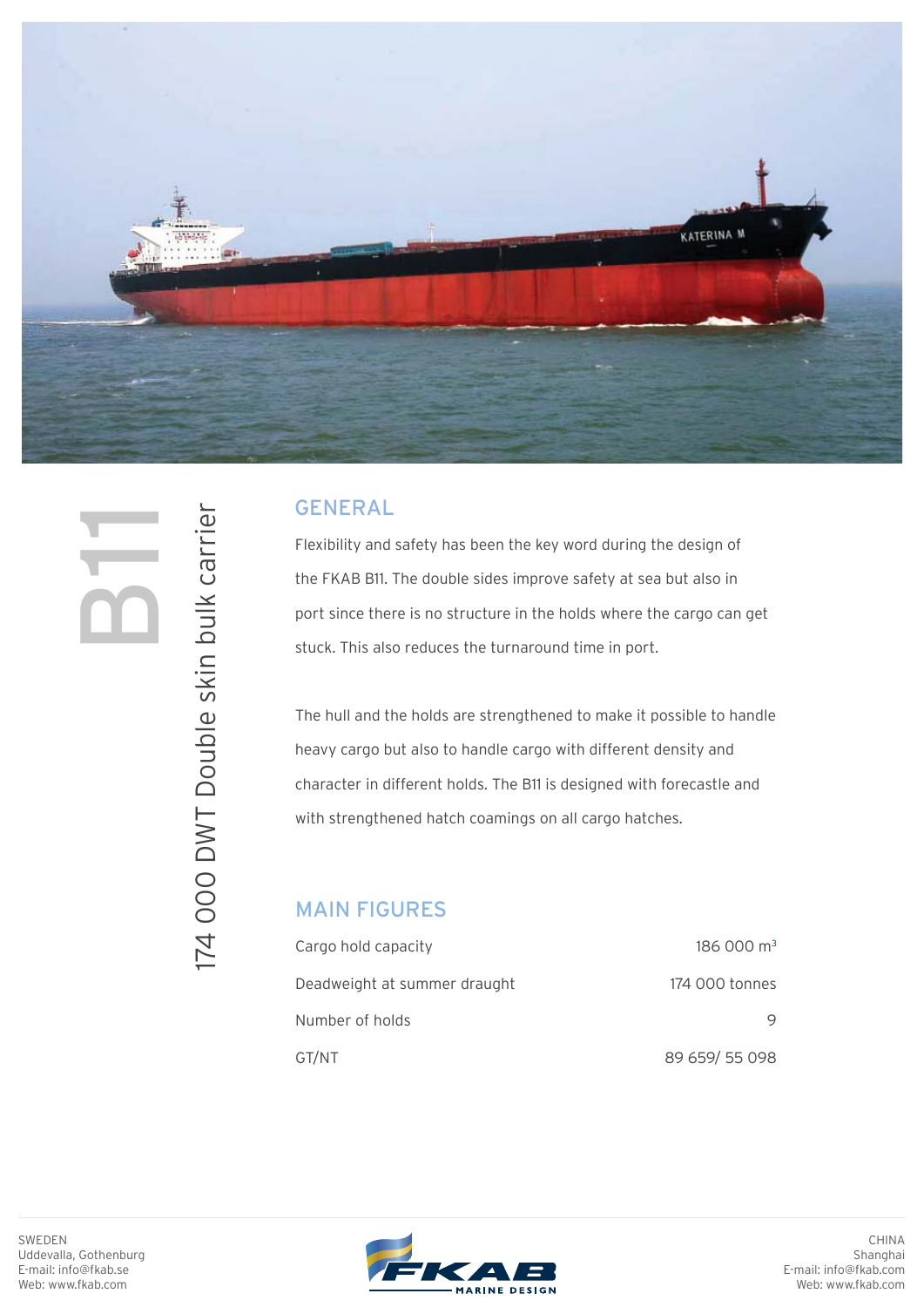

# **b11**

174 000 DWT Double skin bulk carrier

174 000 DWT Double skin bulk carrier

### GENERAL

Flexibility and safety has been the key word during the design of the FKAB B11. The double sides improve safety at sea but also in port since there is no structure in the holds where the cargo can get stuck. This also reduces the turnaround time in port.

The hull and the holds are strengthened to make it possible to handle heavy cargo but also to handle cargo with different density and character in different holds. The B11 is designed with forecastle and with strengthened hatch coamings on all cargo hatches.

#### MAIN FIGURES

| Cargo hold capacity          | 186000 m <sup>3</sup> |
|------------------------------|-----------------------|
| Deadweight at summer draught | 174 000 tonnes        |
| Number of holds              |                       |
| GT/NT                        | 89 659/55 098         |